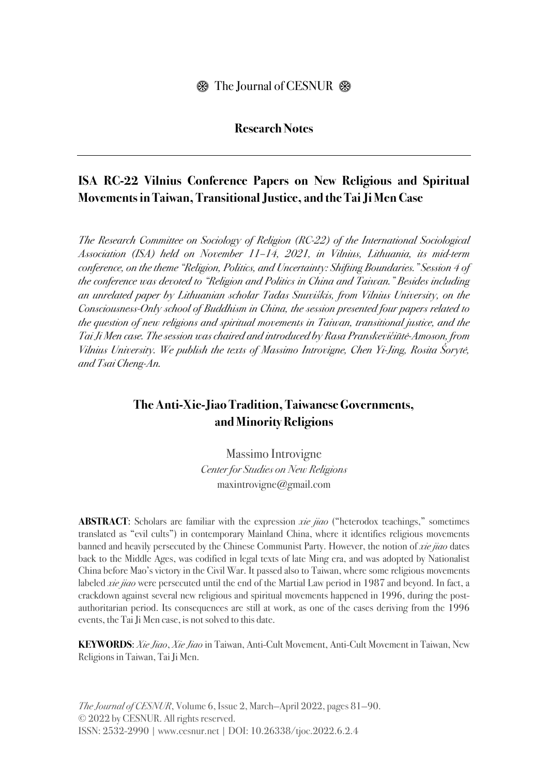## **Research Notes**

## **ISA RC-22 Vilnius Conference Papers on New Religious and Spiritual Movements in Taiwan, Transitional Justice, and the Tai Ji Men Case**

*The Research Committee on Sociology of Religion (RC-22) of the International Sociological Association (ISA) held on November 11–14, 2021, in Vilnius, Lithuania, its mid-term conference, on the theme "Religion, Politics, and Uncertainty: Shifting Boundaries." Session 4 of the conference was devoted to "Religion and Politics in China and Taiwan." Besides including an unrelated paper by Lithuanian scholar Tadas Snuvi*š*kis, from Vilnius University, on the Consciousness-Only school of Buddhism in China, the session presented four papers related to the question of new religions and spiritual movements in Taiwan, transitional justice, and the Tai Ji Men case. The session was chaired and introduced by Rasa Pranskevi*č*i*ū*t*ė*-Amoson, from Vilnius University. We publish the texts of Massimo Introvigne, Chen Yi-Jing, Rosita* Š*oryt*ė*, and Tsai Cheng-An.*

## **The Anti-Xie-Jiao Tradition, Taiwanese Governments, and Minority Religions**

Massimo Introvigne *Center for Studies on New Religions* maxintrovigne@gmail.com

**ABSTRACT**: Scholars are familiar with the expression *xie jiao* ("heterodox teachings," sometimes translated as "evil cults") in contemporary Mainland China, where it identifies religious movements banned and heavily persecuted by the Chinese Communist Party. However, the notion of *xie jiao* dates back to the Middle Ages, was codified in legal texts of late Ming era, and was adopted by Nationalist China before Mao's victory in the Civil War. It passed also to Taiwan, where some religious movements labeled *xie jiao* were persecuted until the end of the Martial Law period in 1987 and beyond. In fact, a crackdown against several new religious and spiritual movements happened in 1996, during the postauthoritarian period. Its consequences are still at work, as one of the cases deriving from the 1996 events, the Tai Ji Men case, is not solved to this date.

**KEYWORDS**: *Xie Jiao*, *Xie Jiao* in Taiwan, Anti-Cult Movement, Anti-Cult Movement in Taiwan, New Religions in Taiwan, Tai Ji Men.

*The Journal of CESNUR*, Volume 6, Issue 2, March—April 2022, pages 81—90. © 2022 by CESNUR. All rights reserved. ISSN: 2532-2990 | www.cesnur.net | DOI: 10.26338/tjoc.2022.6.2.4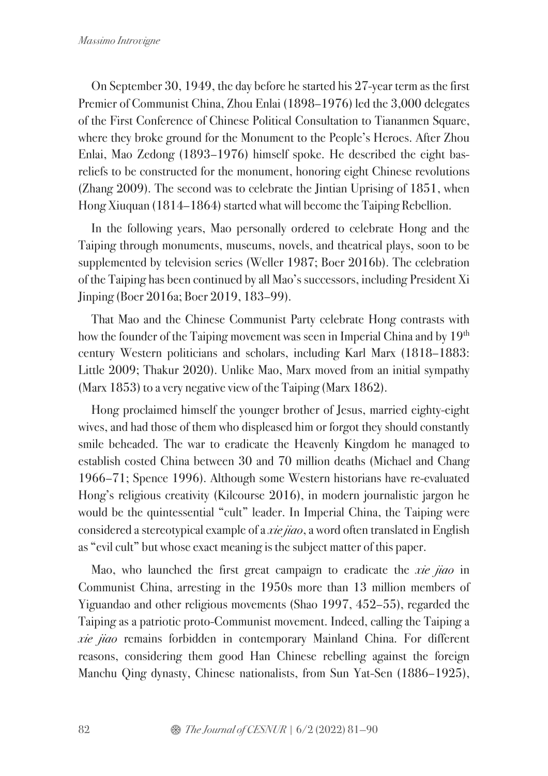On September 30, 1949, the day before he started his 27-year term as the first Premier of Communist China, Zhou Enlai (1898–1976) led the 3,000 delegates of the First Conference of Chinese Political Consultation to Tiananmen Square, where they broke ground for the Monument to the People's Heroes. After Zhou Enlai, Mao Zedong (1893–1976) himself spoke. He described the eight basreliefs to be constructed for the monument, honoring eight Chinese revolutions (Zhang 2009). The second was to celebrate the Jintian Uprising of 1851, when Hong Xiuquan (1814–1864) started what will become the Taiping Rebellion.

In the following years, Mao personally ordered to celebrate Hong and the Taiping through monuments, museums, novels, and theatrical plays, soon to be supplemented by television series (Weller 1987; Boer 2016b). The celebration of the Taiping has been continued by all Mao's successors, including President Xi Jinping (Boer 2016a; Boer 2019, 183–99).

That Mao and the Chinese Communist Party celebrate Hong contrasts with how the founder of the Taiping movement was seen in Imperial China and by 19<sup>th</sup> century Western politicians and scholars, including Karl Marx (1818–1883: Little 2009; Thakur 2020). Unlike Mao, Marx moved from an initial sympathy (Marx 1853) to a very negative view of the Taiping (Marx 1862).

Hong proclaimed himself the younger brother of Jesus, married eighty-eight wives, and had those of them who displeased him or forgot they should constantly smile beheaded. The war to eradicate the Heavenly Kingdom he managed to establish costed China between 30 and 70 million deaths (Michael and Chang 1966–71; Spence 1996). Although some Western historians have re-evaluated Hong's religious creativity (Kilcourse 2016), in modern journalistic jargon he would be the quintessential "cult" leader. In Imperial China, the Taiping were considered a stereotypical example of a *xie jiao*, a word often translated in English as "evil cult" but whose exact meaning is the subject matter of this paper.

Mao, who launched the first great campaign to eradicate the *xie jiao* in Communist China, arresting in the 1950s more than 13 million members of Yiguandao and other religious movements (Shao 1997, 452–55), regarded the Taiping as a patriotic proto-Communist movement. Indeed, calling the Taiping a *xie jiao* remains forbidden in contemporary Mainland China. For different reasons, considering them good Han Chinese rebelling against the foreign Manchu Qing dynasty, Chinese nationalists, from Sun Yat-Sen (1886–1925),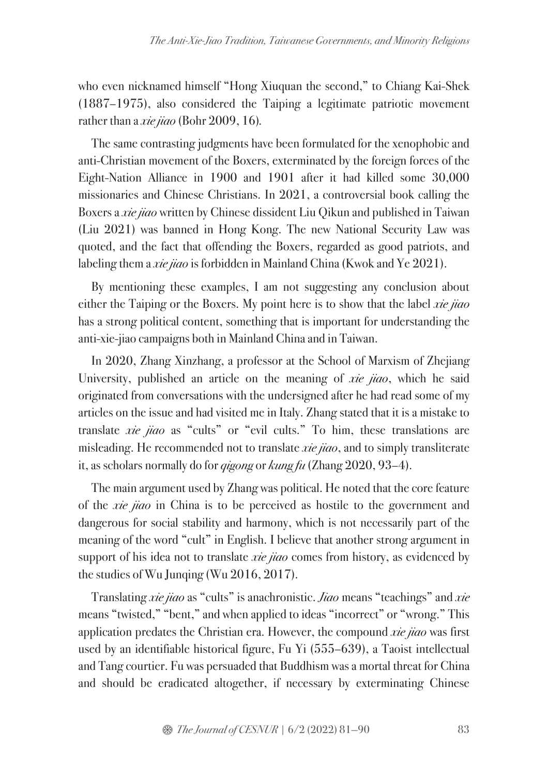who even nicknamed himself "Hong Xiuquan the second," to Chiang Kai-Shek (1887–1975), also considered the Taiping a legitimate patriotic movement rather than a *xie jiao* (Bohr 2009, 16)*.*

The same contrasting judgments have been formulated for the xenophobic and anti-Christian movement of the Boxers, exterminated by the foreign forces of the Eight-Nation Alliance in 1900 and 1901 after it had killed some 30,000 missionaries and Chinese Christians. In 2021, a controversial book calling the Boxers a *xie jiao* written by Chinese dissident Liu Qikun and published in Taiwan (Liu 2021) was banned in Hong Kong. The new National Security Law was quoted, and the fact that offending the Boxers, regarded as good patriots, and labeling them a *xie jiao* is forbidden in Mainland China (Kwok and Ye 2021).

By mentioning these examples, I am not suggesting any conclusion about either the Taiping or the Boxers. My point here is to show that the label *xie jiao*  has a strong political content, something that is important for understanding the anti-xie-jiao campaigns both in Mainland China and in Taiwan.

In 2020, Zhang Xinzhang, a professor at the School of Marxism of Zhejiang University, published an article on the meaning of *xie jiao*, which he said originated from conversations with the undersigned after he had read some of my articles on the issue and had visited me in Italy. Zhang stated that it is a mistake to translate *xie jiao* as "cults" or "evil cults." To him, these translations are misleading. He recommended not to translate *xie jiao*, and to simply transliterate it, as scholars normally do for *qigong* or *kung fu* (Zhang 2020, 93–4).

The main argument used by Zhang was political. He noted that the core feature of the *xie jiao* in China is to be perceived as hostile to the government and dangerous for social stability and harmony, which is not necessarily part of the meaning of the word "cult" in English. I believe that another strong argument in support of his idea not to translate *xie jiao* comes from history, as evidenced by the studies of Wu Junqing (Wu 2016, 2017).

Translating *xie jiao* as "cults" is anachronistic. *Jiao* means "teachings" and *xie*  means "twisted," "bent," and when applied to ideas "incorrect" or "wrong." This application predates the Christian era. However, the compound *xie jiao* was first used by an identifiable historical figure, Fu Yi (555–639), a Taoist intellectual and Tang courtier. Fu was persuaded that Buddhism was a mortal threat for China and should be eradicated altogether, if necessary by exterminating Chinese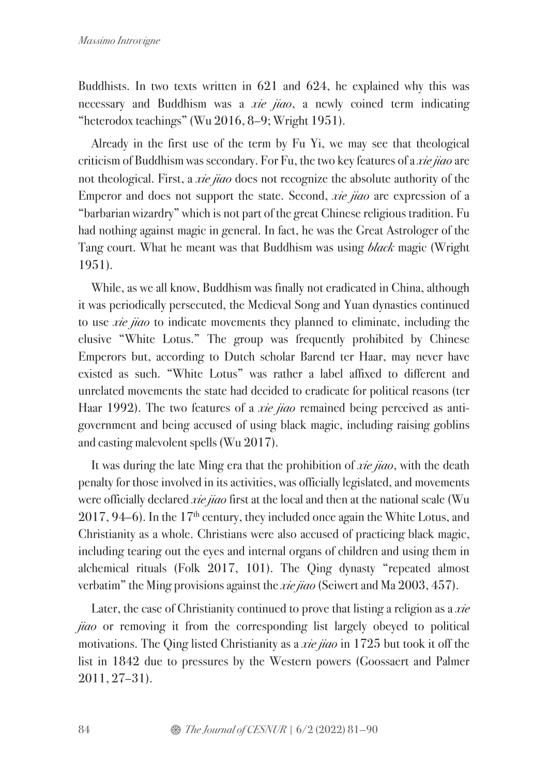Buddhists. In two texts written in 621 and 624, he explained why this was necessary and Buddhism was a *xie jiao*, a newly coined term indicating "heterodox teachings" (Wu 2016, 8–9; Wright 1951).

Already in the first use of the term by Fu Yi, we may see that theological criticism of Buddhism was secondary. For Fu, the two key features of a *xie jiao* are not theological. First, a *xie jiao* does not recognize the absolute authority of the Emperor and does not support the state. Second, *xie jiao* are expression of a "barbarian wizardry" which is not part of the great Chinese religious tradition. Fu had nothing against magic in general. In fact, he was the Great Astrologer of the Tang court. What he meant was that Buddhism was using *black* magic (Wright 1951).

While, as we all know, Buddhism was finally not eradicated in China, although it was periodically persecuted, the Medieval Song and Yuan dynasties continued to use *xie jiao* to indicate movements they planned to eliminate, including the elusive "White Lotus." The group was frequently prohibited by Chinese Emperors but, according to Dutch scholar Barend ter Haar, may never have existed as such. "White Lotus" was rather a label affixed to different and unrelated movements the state had decided to eradicate for political reasons (ter Haar 1992). The two features of a *xie jiao* remained being perceived as antigovernment and being accused of using black magic, including raising goblins and casting malevolent spells (Wu 2017).

It was during the late Ming era that the prohibition of *xie jiao*, with the death penalty for those involved in its activities, was officially legislated, and movements were officially declared *xie jiao* first at the local and then at the national scale (Wu  $2017, 94-6$ ). In the  $17<sup>th</sup>$  century, they included once again the White Lotus, and Christianity as a whole. Christians were also accused of practicing black magic, including tearing out the eyes and internal organs of children and using them in alchemical rituals (Folk 2017, 101). The Qing dynasty "repeated almost verbatim" the Ming provisions against the *xie jiao* (Seiwert and Ma 2003, 457).

Later, the case of Christianity continued to prove that listing a religion as a *xie jiao* or removing it from the corresponding list largely obeyed to political motivations. The Qing listed Christianity as a *xie jiao* in 1725 but took it off the list in 1842 due to pressures by the Western powers (Goossaert and Palmer 2011, 27–31).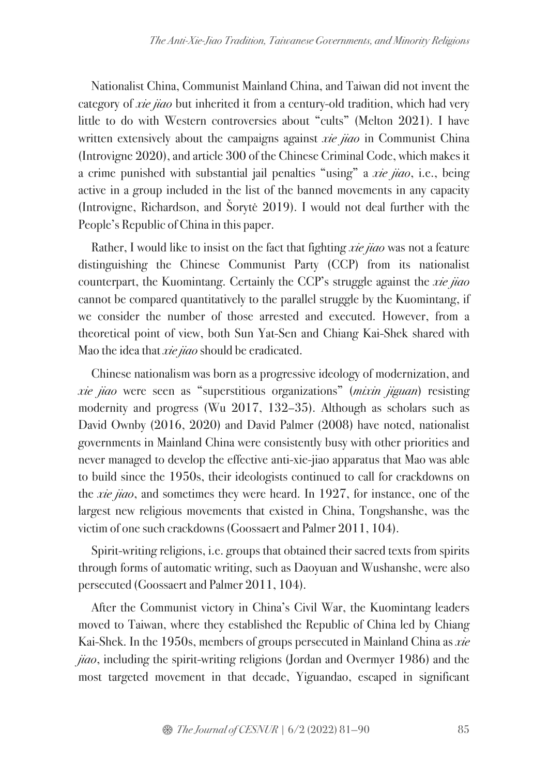Nationalist China, Communist Mainland China, and Taiwan did not invent the category of *xie jiao* but inherited it from a century-old tradition, which had very little to do with Western controversies about "cults" (Melton 2021). I have written extensively about the campaigns against *xie jiao* in Communist China (Introvigne 2020), and article 300 of the Chinese Criminal Code, which makes it a crime punished with substantial jail penalties "using" a *xie jiao*, i.e., being active in a group included in the list of the banned movements in any capacity (Introvigne, Richardson, and Šorytė 2019). I would not deal further with the People's Republic of China in this paper.

Rather, I would like to insist on the fact that fighting *xie jiao* was not a feature distinguishing the Chinese Communist Party (CCP) from its nationalist counterpart, the Kuomintang. Certainly the CCP's struggle against the *xie jiao*  cannot be compared quantitatively to the parallel struggle by the Kuomintang, if we consider the number of those arrested and executed. However, from a theoretical point of view, both Sun Yat-Sen and Chiang Kai-Shek shared with Mao the idea that *xie jiao* should be eradicated.

Chinese nationalism was born as a progressive ideology of modernization, and *xie jiao* were seen as "superstitious organizations" (*mixin jiguan*) resisting modernity and progress (Wu 2017, 132–35). Although as scholars such as David Ownby (2016, 2020) and David Palmer (2008) have noted, nationalist governments in Mainland China were consistently busy with other priorities and never managed to develop the effective anti-xie-jiao apparatus that Mao was able to build since the 1950s, their ideologists continued to call for crackdowns on the *xie jiao*, and sometimes they were heard. In 1927, for instance, one of the largest new religious movements that existed in China, Tongshanshe, was the victim of one such crackdowns (Goossaert and Palmer 2011, 104).

Spirit-writing religions, i.e. groups that obtained their sacred texts from spirits through forms of automatic writing, such as Daoyuan and Wushanshe, were also persecuted (Goossaert and Palmer 2011, 104).

After the Communist victory in China's Civil War, the Kuomintang leaders moved to Taiwan, where they established the Republic of China led by Chiang Kai-Shek. In the 1950s, members of groups persecuted in Mainland China as *xie jiao*, including the spirit-writing religions (Jordan and Overmyer 1986) and the most targeted movement in that decade, Yiguandao, escaped in significant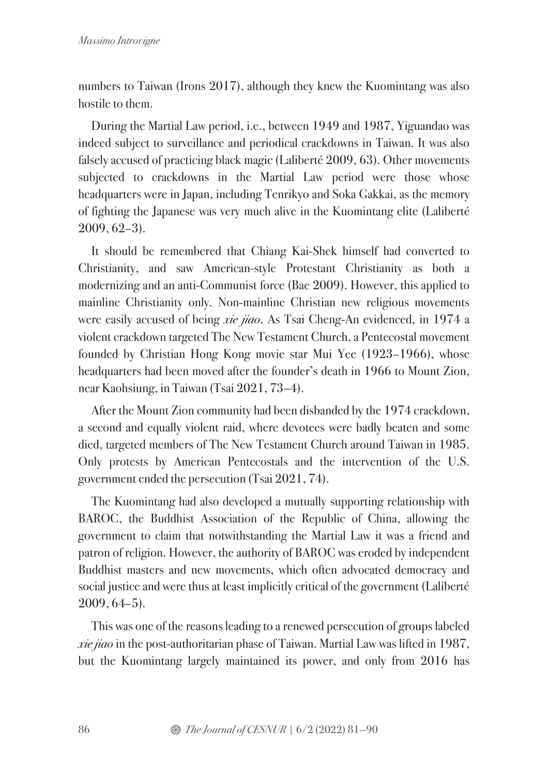numbers to Taiwan (Irons 2017), although they knew the Kuomintang was also hostile to them.

During the Martial Law period, i.e., between 1949 and 1987, Yiguandao was indeed subject to surveillance and periodical crackdowns in Taiwan. It was also falsely accused of practicing black magic (Laliberté 2009, 63). Other movements subjected to crackdowns in the Martial Law period were those whose headquarters were in Japan, including Tenrikyo and Soka Gakkai, as the memory of fighting the Japanese was very much alive in the Kuomintang elite (Laliberté 2009, 62–3).

It should be remembered that Chiang Kai-Shek himself had converted to Christianity, and saw American-style Protestant Christianity as both a modernizing and an anti-Communist force (Bae 2009). However, this applied to mainline Christianity only. Non-mainline Christian new religious movements were easily accused of being *xie jiao*. As Tsai Cheng-An evidenced, in 1974 a violent crackdown targeted The New Testament Church, a Pentecostal movement founded by Christian Hong Kong movie star Mui Yee (1923–1966), whose headquarters had been moved after the founder's death in 1966 to Mount Zion, near Kaohsiung, in Taiwan (Tsai 2021, 73–4).

After the Mount Zion community had been disbanded by the 1974 crackdown, a second and equally violent raid, where devotees were badly beaten and some died, targeted members of The New Testament Church around Taiwan in 1985. Only protests by American Pentecostals and the intervention of the U.S. government ended the persecution (Tsai 2021, 74).

The Kuomintang had also developed a mutually supporting relationship with BAROC, the Buddhist Association of the Republic of China, allowing the government to claim that notwithstanding the Martial Law it was a friend and patron of religion. However, the authority of BAROC was eroded by independent Buddhist masters and new movements, which often advocated democracy and social justice and were thus at least implicitly critical of the government (Laliberté 2009, 64–5).

This was one of the reasons leading to a renewed persecution of groups labeled *xie jiao* in the post-authoritarian phase of Taiwan. Martial Law was lifted in 1987, but the Kuomintang largely maintained its power, and only from 2016 has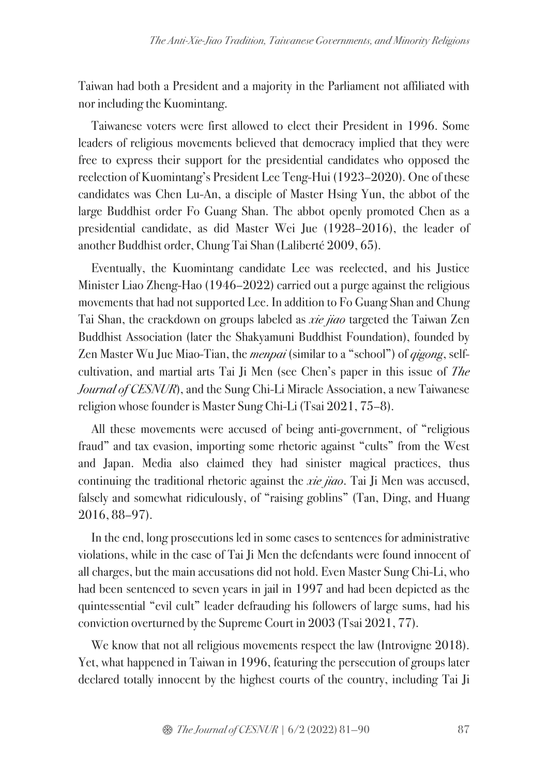Taiwan had both a President and a majority in the Parliament not affiliated with nor including the Kuomintang.

Taiwanese voters were first allowed to elect their President in 1996. Some leaders of religious movements believed that democracy implied that they were free to express their support for the presidential candidates who opposed the reelection of Kuomintang's President Lee Teng-Hui (1923–2020). One of these candidates was Chen Lu-An, a disciple of Master Hsing Yun, the abbot of the large Buddhist order Fo Guang Shan. The abbot openly promoted Chen as a presidential candidate, as did Master Wei Jue (1928–2016), the leader of another Buddhist order, Chung Tai Shan (Laliberté 2009, 65).

Eventually, the Kuomintang candidate Lee was reelected, and his Justice Minister Liao Zheng-Hao (1946–2022) carried out a purge against the religious movements that had not supported Lee. In addition to Fo Guang Shan and Chung Tai Shan, the crackdown on groups labeled as *xie jiao* targeted the Taiwan Zen Buddhist Association (later the Shakyamuni Buddhist Foundation), founded by Zen Master Wu Jue Miao-Tian, the *menpai* (similar to a "school") of *qigong*, selfcultivation, and martial arts Tai Ji Men (see Chen's paper in this issue of *The Journal of CESNUR*), and the Sung Chi-Li Miracle Association, a new Taiwanese religion whose founder is Master Sung Chi-Li (Tsai 2021, 75–8).

All these movements were accused of being anti-government, of "religious fraud" and tax evasion, importing some rhetoric against "cults" from the West and Japan. Media also claimed they had sinister magical practices, thus continuing the traditional rhetoric against the *xie jiao*. Tai Ji Men was accused, falsely and somewhat ridiculously, of "raising goblins" (Tan, Ding, and Huang 2016, 88–97).

In the end, long prosecutions led in some cases to sentences for administrative violations, while in the case of Tai Ji Men the defendants were found innocent of all charges, but the main accusations did not hold. Even Master Sung Chi-Li, who had been sentenced to seven years in jail in 1997 and had been depicted as the quintessential "evil cult" leader defrauding his followers of large sums, had his conviction overturned by the Supreme Court in 2003 (Tsai 2021, 77).

We know that not all religious movements respect the law (Introvigne 2018). Yet, what happened in Taiwan in 1996, featuring the persecution of groups later declared totally innocent by the highest courts of the country, including Tai Ji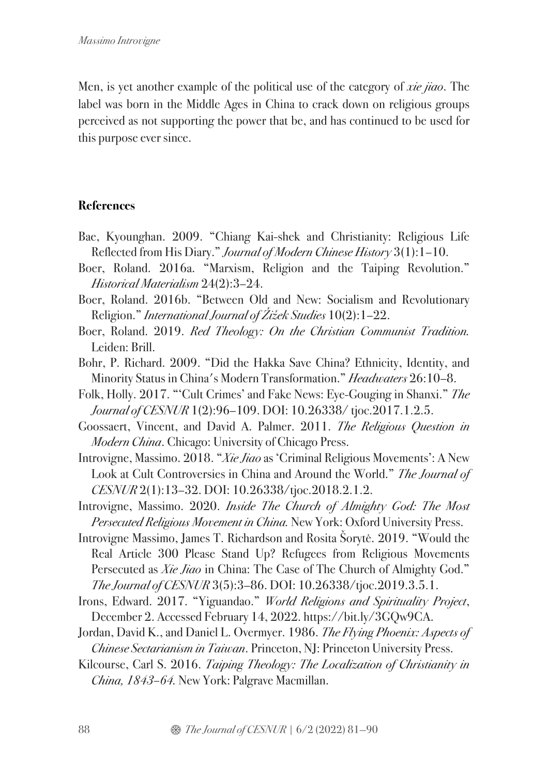Men, is yet another example of the political use of the category of *xie jiao*. The label was born in the Middle Ages in China to crack down on religious groups perceived as not supporting the power that be, and has continued to be used for this purpose ever since.

## **References**

- Bae, Kyounghan. 2009. "Chiang Kai-shek and Christianity: Religious Life Reflected from His Diary." *Journal of Modern Chinese History* 3(1):1–10.
- Boer, Roland. 2016a. "Marxism, Religion and the Taiping Revolution." *Historical Materialism* 24(2):3–24.
- Boer, Roland. 2016b. "Between Old and New: Socialism and Revolutionary Religion." *International Journal of* Ž*i*ž*ek Studies* 10(2):1–22.
- Boer, Roland. 2019. *Red Theology: On the Christian Communist Tradition.*  Leiden: Brill.
- Bohr, P. Richard. 2009. "Did the Hakka Save China? Ethnicity, Identity, and Minority Status in China's Modern Transformation." *Headwaters* 26:10–8.
- Folk, Holly. 2017. "'Cult Crimes' and Fake News: Eye-Gouging in Shanxi." *The Journal of CESNUR* 1(2):96–109. DOI: 10.26338/ tjoc.2017.1.2.5.
- Goossaert, Vincent, and David A. Palmer. 2011. *The Religious Question in Modern China*. Chicago: University of Chicago Press.
- Introvigne, Massimo. 2018. "*Xie Jiao* as 'Criminal Religious Movements': A New Look at Cult Controversies in China and Around the World." *The Journal of CESNUR* 2(1):13–32. DOI: 10.26338/tjoc.2018.2.1.2.
- Introvigne, Massimo. 2020. *Inside The Church of Almighty God: The Most Persecuted Religious Movement in China.* New York: Oxford University Press.
- Introvigne Massimo, James T. Richardson and Rosita Šorytė. 2019. "Would the Real Article 300 Please Stand Up? Refugees from Religious Movements Persecuted as *Xie Jiao* in China: The Case of The Church of Almighty God." *The Journal of CESNUR* 3(5):3–86. DOI: 10.26338/tjoc.2019.3.5.1.
- Irons, Edward. 2017. "Yiguandao." *World Religions and Spirituality Project*, December 2. Accessed February 14, 2022. https://bit.ly/3GQw9CA.
- Jordan, David K., and Daniel L. Overmyer. 1986. *The Flying Phoenix: Aspects of Chinese Sectarianism in Taiwan*. Princeton, NJ: Princeton University Press.
- Kilcourse, Carl S. 2016. *Taiping Theology: The Localization of Christianity in China, 1843–64.* New York: Palgrave Macmillan.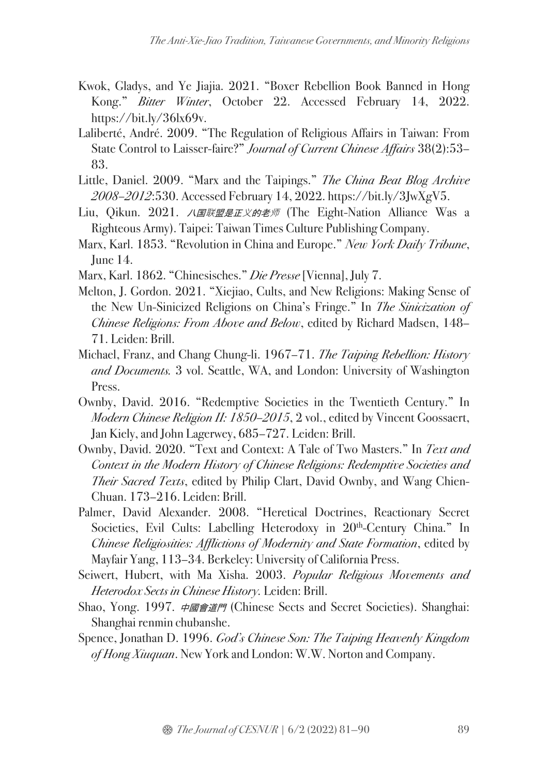- Kwok, Gladys, and Ye Jiajia. 2021. "Boxer Rebellion Book Banned in Hong Kong." *Bitter Winter*, October 22. Accessed February 14, 2022. https://bit.ly/36lx69v.
- Laliberté, André. 2009. "The Regulation of Religious Affairs in Taiwan: From State Control to Laisser-faire?" *Journal of Current Chinese Affairs* 38(2):53– 83.
- Little, Daniel. 2009. "Marx and the Taipings." *The China Beat Blog Archive 2008–2012*:530. Accessed February 14, 2022. https://bit.ly/3JwXgV5.
- Liu, Qikun. 2021. *八国联盟是正义的老师* (The Eight-Nation Alliance Was a Righteous Army). Taipei: Taiwan Times Culture Publishing Company.
- Marx, Karl. 1853. "Revolution in China and Europe." *New York Daily Tribune*, June 14.
- Marx, Karl. 1862. "Chinesisches." *Die Presse*[Vienna], July 7.
- Melton, J. Gordon. 2021. "Xiejiao, Cults, and New Religions: Making Sense of the New Un-Sinicized Religions on China's Fringe." In *The Sinicization of Chinese Religions: From Above and Below*, edited by Richard Madsen, 148– 71. Leiden: Brill.
- Michael, Franz, and Chang Chung-li. 1967–71. *The Taiping Rebellion: History and Documents.* 3 vol. Seattle, WA, and London: University of Washington Press.
- Ownby, David. 2016. "Redemptive Societies in the Twentieth Century." In *Modern Chinese Religion II: 1850–2015*, 2 vol., edited by Vincent Goossaert, Jan Kiely, and John Lagerwey, 685–727. Leiden: Brill.
- Ownby, David. 2020. "Text and Context: A Tale of Two Masters." In *Text and Context in the Modern History of Chinese Religions: Redemptive Societies and Their Sacred Texts*, edited by Philip Clart, David Ownby, and Wang Chien-Chuan. 173–216. Leiden: Brill.
- Palmer, David Alexander. 2008. "Heretical Doctrines, Reactionary Secret Societies, Evil Cults: Labelling Heterodoxy in 20<sup>th</sup>-Century China." In *Chinese Religiosities: Afflictions of Modernity and State Formation*, edited by Mayfair Yang, 113–34. Berkeley: University of California Press.
- Seiwert, Hubert, with Ma Xisha. 2003. *Popular Religious Movements and Heterodox Sects in Chinese History.* Leiden: Brill.
- Shao, Yong. 1997. 中國會道門 (Chinese Sects and Secret Societies). Shanghai: Shanghai renmin chubanshe.
- Spence, Jonathan D. 1996. *God's Chinese Son: The Taiping Heavenly Kingdom of Hong Xiuquan*. New York and London: W.W. Norton and Company.